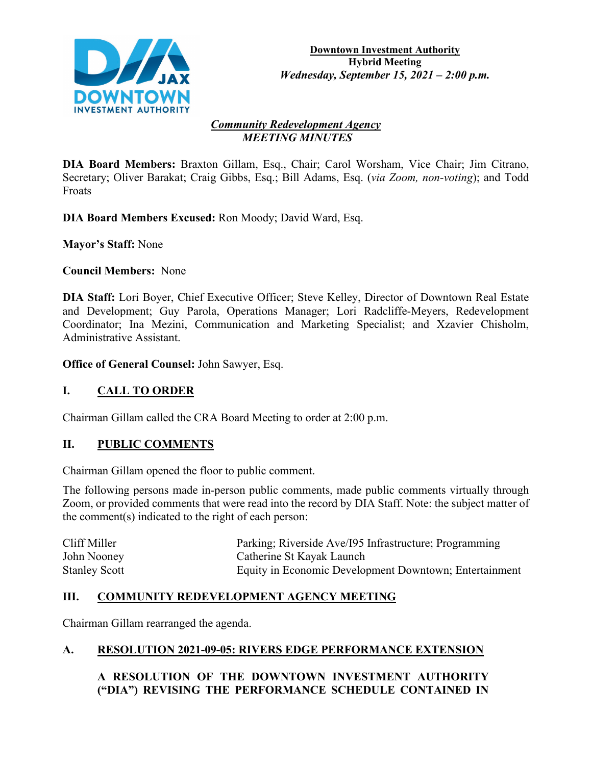

#### *Community Redevelopment Agency MEETING MINUTES*

**DIA Board Members:** Braxton Gillam, Esq., Chair; Carol Worsham, Vice Chair; Jim Citrano, Secretary; Oliver Barakat; Craig Gibbs, Esq.; Bill Adams, Esq. (*via Zoom, non-voting*); and Todd Froats

**DIA Board Members Excused:** Ron Moody; David Ward, Esq.

**Mayor's Staff:** None

**Council Members:** None

**DIA Staff:** Lori Boyer, Chief Executive Officer; Steve Kelley, Director of Downtown Real Estate and Development; Guy Parola, Operations Manager; Lori Radcliffe-Meyers, Redevelopment Coordinator; Ina Mezini, Communication and Marketing Specialist; and Xzavier Chisholm, Administrative Assistant.

**Office of General Counsel:** John Sawyer, Esq.

# **I. CALL TO ORDER**

Chairman Gillam called the CRA Board Meeting to order at 2:00 p.m.

## **II. PUBLIC COMMENTS**

Chairman Gillam opened the floor to public comment.

The following persons made in-person public comments, made public comments virtually through Zoom, or provided comments that were read into the record by DIA Staff. Note: the subject matter of the comment(s) indicated to the right of each person:

| Cliff Miller         | Parking; Riverside Ave/195 Infrastructure; Programming |
|----------------------|--------------------------------------------------------|
| John Nooney          | Catherine St Kayak Launch                              |
| <b>Stanley Scott</b> | Equity in Economic Development Downtown; Entertainment |

# **III. COMMUNITY REDEVELOPMENT AGENCY MEETING**

Chairman Gillam rearranged the agenda.

# **A. RESOLUTION 2021-09-05: RIVERS EDGE PERFORMANCE EXTENSION**

# **A RESOLUTION OF THE DOWNTOWN INVESTMENT AUTHORITY ("DIA") REVISING THE PERFORMANCE SCHEDULE CONTAINED IN**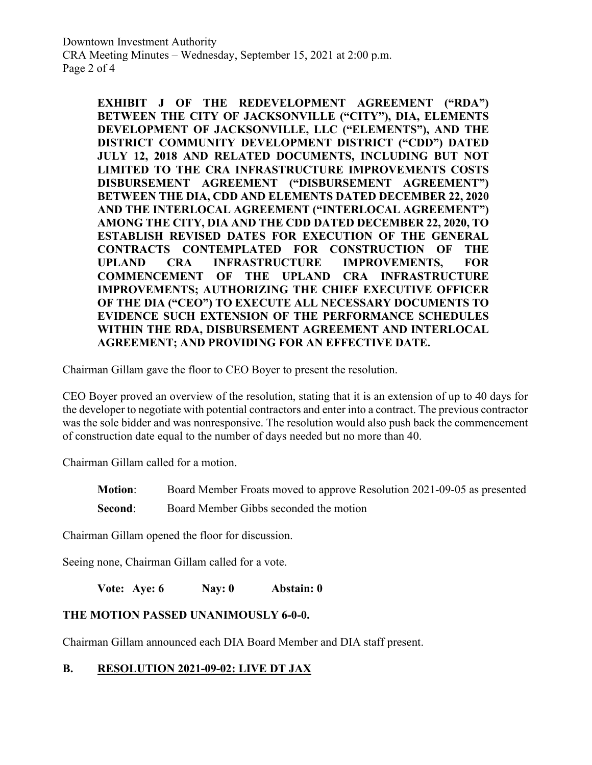Downtown Investment Authority CRA Meeting Minutes – Wednesday, September 15, 2021 at 2:00 p.m. Page 2 of 4

> **EXHIBIT J OF THE REDEVELOPMENT AGREEMENT ("RDA") BETWEEN THE CITY OF JACKSONVILLE ("CITY"), DIA, ELEMENTS DEVELOPMENT OF JACKSONVILLE, LLC ("ELEMENTS"), AND THE DISTRICT COMMUNITY DEVELOPMENT DISTRICT ("CDD") DATED JULY 12, 2018 AND RELATED DOCUMENTS, INCLUDING BUT NOT LIMITED TO THE CRA INFRASTRUCTURE IMPROVEMENTS COSTS DISBURSEMENT AGREEMENT ("DISBURSEMENT AGREEMENT") BETWEEN THE DIA, CDD AND ELEMENTS DATED DECEMBER 22, 2020 AND THE INTERLOCAL AGREEMENT ("INTERLOCAL AGREEMENT") AMONG THE CITY, DIA AND THE CDD DATED DECEMBER 22, 2020, TO ESTABLISH REVISED DATES FOR EXECUTION OF THE GENERAL CONTRACTS CONTEMPLATED FOR CONSTRUCTION OF THE UPLAND CRA INFRASTRUCTURE IMPROVEMENTS, FOR COMMENCEMENT OF THE UPLAND CRA INFRASTRUCTURE IMPROVEMENTS; AUTHORIZING THE CHIEF EXECUTIVE OFFICER OF THE DIA ("CEO") TO EXECUTE ALL NECESSARY DOCUMENTS TO EVIDENCE SUCH EXTENSION OF THE PERFORMANCE SCHEDULES WITHIN THE RDA, DISBURSEMENT AGREEMENT AND INTERLOCAL AGREEMENT; AND PROVIDING FOR AN EFFECTIVE DATE.**

Chairman Gillam gave the floor to CEO Boyer to present the resolution.

CEO Boyer proved an overview of the resolution, stating that it is an extension of up to 40 days for the developer to negotiate with potential contractors and enter into a contract. The previous contractor was the sole bidder and was nonresponsive. The resolution would also push back the commencement of construction date equal to the number of days needed but no more than 40.

Chairman Gillam called for a motion.

**Motion**: Board Member Froats moved to approve Resolution 2021-09-05 as presented

**Second:** Board Member Gibbs seconded the motion

Chairman Gillam opened the floor for discussion.

Seeing none, Chairman Gillam called for a vote.

**Vote: Aye: 6 Nay: 0 Abstain: 0**

#### **THE MOTION PASSED UNANIMOUSLY 6-0-0.**

Chairman Gillam announced each DIA Board Member and DIA staff present.

#### **B. RESOLUTION 2021-09-02: LIVE DT JAX**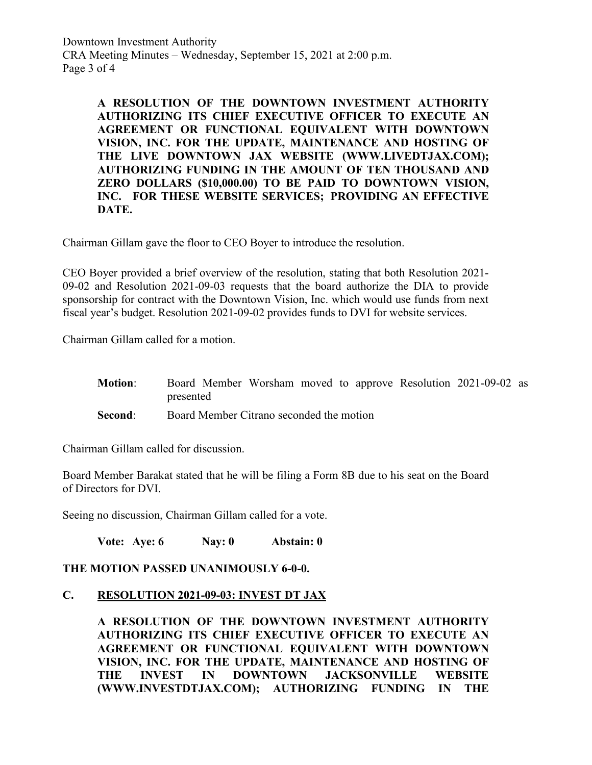Downtown Investment Authority CRA Meeting Minutes – Wednesday, September 15, 2021 at 2:00 p.m. Page 3 of 4

> **A RESOLUTION OF THE DOWNTOWN INVESTMENT AUTHORITY AUTHORIZING ITS CHIEF EXECUTIVE OFFICER TO EXECUTE AN AGREEMENT OR FUNCTIONAL EQUIVALENT WITH DOWNTOWN VISION, INC. FOR THE UPDATE, MAINTENANCE AND HOSTING OF THE LIVE DOWNTOWN JAX WEBSITE (WWW.LIVEDTJAX.COM); AUTHORIZING FUNDING IN THE AMOUNT OF TEN THOUSAND AND ZERO DOLLARS (\$10,000.00) TO BE PAID TO DOWNTOWN VISION, INC. FOR THESE WEBSITE SERVICES; PROVIDING AN EFFECTIVE DATE.**

Chairman Gillam gave the floor to CEO Boyer to introduce the resolution.

CEO Boyer provided a brief overview of the resolution, stating that both Resolution 2021- 09-02 and Resolution 2021-09-03 requests that the board authorize the DIA to provide sponsorship for contract with the Downtown Vision, Inc. which would use funds from next fiscal year's budget. Resolution 2021-09-02 provides funds to DVI for website services.

Chairman Gillam called for a motion.

**Motion**: Board Member Worsham moved to approve Resolution 2021-09-02 as presented **Second:** Board Member Citrano seconded the motion

Chairman Gillam called for discussion.

Board Member Barakat stated that he will be filing a Form 8B due to his seat on the Board of Directors for DVI.

Seeing no discussion, Chairman Gillam called for a vote.

**Vote: Aye: 6 Nay: 0 Abstain: 0**

#### **THE MOTION PASSED UNANIMOUSLY 6-0-0.**

#### **C. RESOLUTION 2021-09-03: INVEST DT JAX**

**A RESOLUTION OF THE DOWNTOWN INVESTMENT AUTHORITY AUTHORIZING ITS CHIEF EXECUTIVE OFFICER TO EXECUTE AN AGREEMENT OR FUNCTIONAL EQUIVALENT WITH DOWNTOWN VISION, INC. FOR THE UPDATE, MAINTENANCE AND HOSTING OF THE INVEST IN DOWNTOWN JACKSONVILLE WEBSITE (WWW.INVESTDTJAX.COM); AUTHORIZING FUNDING IN THE**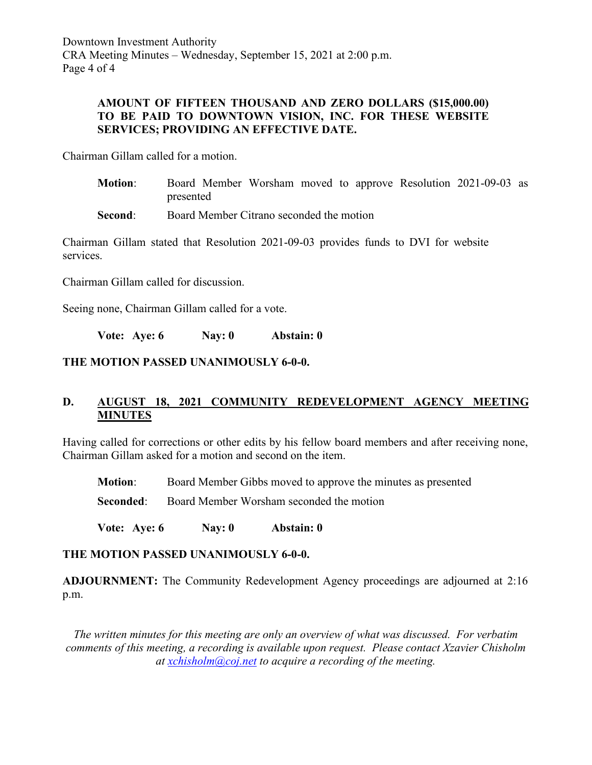Downtown Investment Authority CRA Meeting Minutes – Wednesday, September 15, 2021 at 2:00 p.m. Page 4 of 4

### **AMOUNT OF FIFTEEN THOUSAND AND ZERO DOLLARS (\$15,000.00) TO BE PAID TO DOWNTOWN VISION, INC. FOR THESE WEBSITE SERVICES; PROVIDING AN EFFECTIVE DATE.**

Chairman Gillam called for a motion.

- **Motion**: Board Member Worsham moved to approve Resolution 2021-09-03 as presented
- **Second:** Board Member Citrano seconded the motion

Chairman Gillam stated that Resolution 2021-09-03 provides funds to DVI for website services.

Chairman Gillam called for discussion.

Seeing none, Chairman Gillam called for a vote.

**Vote: Aye: 6 Nay: 0 Abstain: 0**

### **THE MOTION PASSED UNANIMOUSLY 6-0-0.**

# **D. AUGUST 18, 2021 COMMUNITY REDEVELOPMENT AGENCY MEETING MINUTES**

Having called for corrections or other edits by his fellow board members and after receiving none, Chairman Gillam asked for a motion and second on the item.

**Motion**: Board Member Gibbs moved to approve the minutes as presented

**Seconded:** Board Member Worsham seconded the motion

**Vote: Aye: 6 Nay: 0 Abstain: 0**

#### **THE MOTION PASSED UNANIMOUSLY 6-0-0.**

**ADJOURNMENT:** The Community Redevelopment Agency proceedings are adjourned at 2:16 p.m.

*The written minutes for this meeting are only an overview of what was discussed. For verbatim comments of this meeting, a recording is available upon request. Please contact Xzavier Chisholm at [xchisholm@coj.net](mailto:xchisholm@coj.net) to acquire a recording of the meeting.*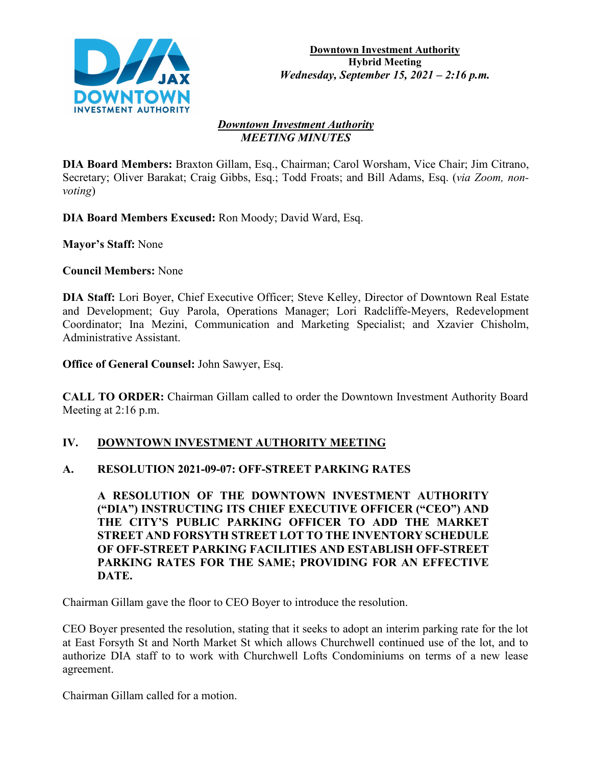

#### *Downtown Investment Authority MEETING MINUTES*

**DIA Board Members:** Braxton Gillam, Esq., Chairman; Carol Worsham, Vice Chair; Jim Citrano, Secretary; Oliver Barakat; Craig Gibbs, Esq.; Todd Froats; and Bill Adams, Esq. (*via Zoom, nonvoting*)

**DIA Board Members Excused:** Ron Moody; David Ward, Esq.

**Mayor's Staff:** None

**Council Members:** None

**DIA Staff:** Lori Boyer, Chief Executive Officer; Steve Kelley, Director of Downtown Real Estate and Development; Guy Parola, Operations Manager; Lori Radcliffe-Meyers, Redevelopment Coordinator; Ina Mezini, Communication and Marketing Specialist; and Xzavier Chisholm, Administrative Assistant.

**Office of General Counsel:** John Sawyer, Esq.

**CALL TO ORDER:** Chairman Gillam called to order the Downtown Investment Authority Board Meeting at 2:16 p.m.

## **IV. DOWNTOWN INVESTMENT AUTHORITY MEETING**

## **A. RESOLUTION 2021-09-07: OFF-STREET PARKING RATES**

**A RESOLUTION OF THE DOWNTOWN INVESTMENT AUTHORITY ("DIA") INSTRUCTING ITS CHIEF EXECUTIVE OFFICER ("CEO") AND THE CITY'S PUBLIC PARKING OFFICER TO ADD THE MARKET STREET AND FORSYTH STREET LOT TO THE INVENTORY SCHEDULE OF OFF-STREET PARKING FACILITIES AND ESTABLISH OFF-STREET PARKING RATES FOR THE SAME; PROVIDING FOR AN EFFECTIVE DATE.**

Chairman Gillam gave the floor to CEO Boyer to introduce the resolution.

CEO Boyer presented the resolution, stating that it seeks to adopt an interim parking rate for the lot at East Forsyth St and North Market St which allows Churchwell continued use of the lot, and to authorize DIA staff to to work with Churchwell Lofts Condominiums on terms of a new lease agreement.

Chairman Gillam called for a motion.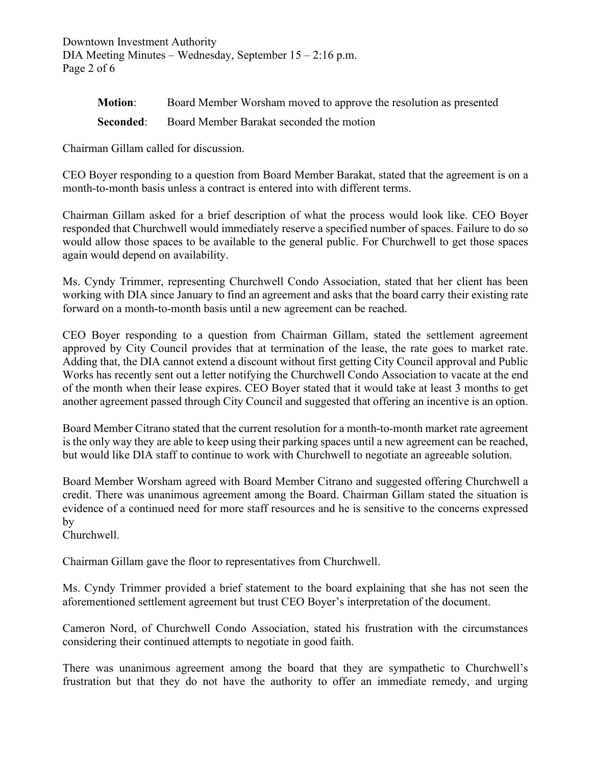Downtown Investment Authority DIA Meeting Minutes – Wednesday, September 15 – 2:16 p.m. Page 2 of 6

| <b>Motion:</b> | Board Member Worsham moved to approve the resolution as presented |
|----------------|-------------------------------------------------------------------|
|                | <b>Seconded:</b> Board Member Barakat seconded the motion         |

Chairman Gillam called for discussion.

CEO Boyer responding to a question from Board Member Barakat, stated that the agreement is on a month-to-month basis unless a contract is entered into with different terms.

Chairman Gillam asked for a brief description of what the process would look like. CEO Boyer responded that Churchwell would immediately reserve a specified number of spaces. Failure to do so would allow those spaces to be available to the general public. For Churchwell to get those spaces again would depend on availability.

Ms. Cyndy Trimmer, representing Churchwell Condo Association, stated that her client has been working with DIA since January to find an agreement and asks that the board carry their existing rate forward on a month-to-month basis until a new agreement can be reached.

CEO Boyer responding to a question from Chairman Gillam, stated the settlement agreement approved by City Council provides that at termination of the lease, the rate goes to market rate. Adding that, the DIA cannot extend a discount without first getting City Council approval and Public Works has recently sent out a letter notifying the Churchwell Condo Association to vacate at the end of the month when their lease expires. CEO Boyer stated that it would take at least 3 months to get another agreement passed through City Council and suggested that offering an incentive is an option.

Board Member Citrano stated that the current resolution for a month-to-month market rate agreement is the only way they are able to keep using their parking spaces until a new agreement can be reached, but would like DIA staff to continue to work with Churchwell to negotiate an agreeable solution.

Board Member Worsham agreed with Board Member Citrano and suggested offering Churchwell a credit. There was unanimous agreement among the Board. Chairman Gillam stated the situation is evidence of a continued need for more staff resources and he is sensitive to the concerns expressed by

Churchwell.

Chairman Gillam gave the floor to representatives from Churchwell.

Ms. Cyndy Trimmer provided a brief statement to the board explaining that she has not seen the aforementioned settlement agreement but trust CEO Boyer's interpretation of the document.

Cameron Nord, of Churchwell Condo Association, stated his frustration with the circumstances considering their continued attempts to negotiate in good faith.

There was unanimous agreement among the board that they are sympathetic to Churchwell's frustration but that they do not have the authority to offer an immediate remedy, and urging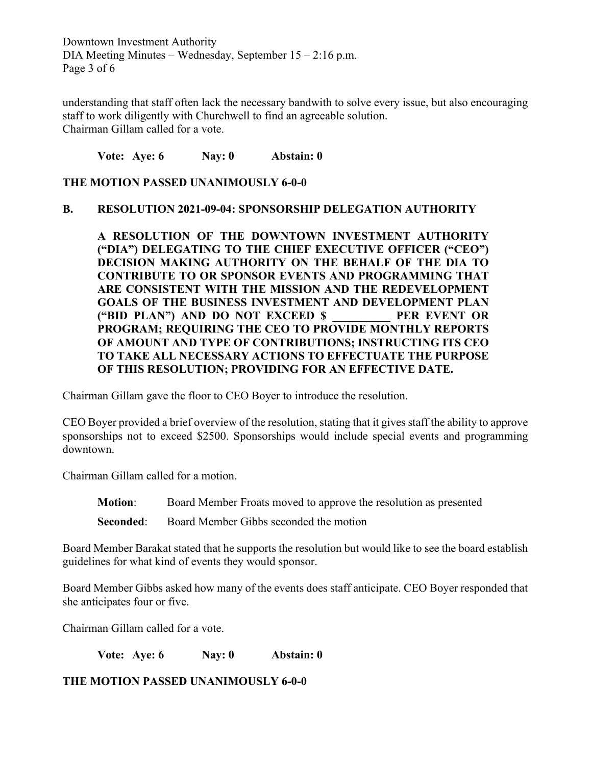Downtown Investment Authority DIA Meeting Minutes – Wednesday, September 15 – 2:16 p.m. Page 3 of 6

understanding that staff often lack the necessary bandwith to solve every issue, but also encouraging staff to work diligently with Churchwell to find an agreeable solution. Chairman Gillam called for a vote.

**Vote: Aye: 6 Nay: 0 Abstain: 0**

### **THE MOTION PASSED UNANIMOUSLY 6-0-0**

### **B. RESOLUTION 2021-09-04: SPONSORSHIP DELEGATION AUTHORITY**

**A RESOLUTION OF THE DOWNTOWN INVESTMENT AUTHORITY ("DIA") DELEGATING TO THE CHIEF EXECUTIVE OFFICER ("CEO") DECISION MAKING AUTHORITY ON THE BEHALF OF THE DIA TO CONTRIBUTE TO OR SPONSOR EVENTS AND PROGRAMMING THAT ARE CONSISTENT WITH THE MISSION AND THE REDEVELOPMENT GOALS OF THE BUSINESS INVESTMENT AND DEVELOPMENT PLAN ("BID PLAN") AND DO NOT EXCEED \$ \_\_\_\_\_\_\_\_\_\_ PER EVENT OR PROGRAM; REQUIRING THE CEO TO PROVIDE MONTHLY REPORTS OF AMOUNT AND TYPE OF CONTRIBUTIONS; INSTRUCTING ITS CEO TO TAKE ALL NECESSARY ACTIONS TO EFFECTUATE THE PURPOSE OF THIS RESOLUTION; PROVIDING FOR AN EFFECTIVE DATE.**

Chairman Gillam gave the floor to CEO Boyer to introduce the resolution.

CEO Boyer provided a brief overview of the resolution, stating that it gives staff the ability to approve sponsorships not to exceed \$2500. Sponsorships would include special events and programming downtown.

Chairman Gillam called for a motion.

**Motion**: Board Member Froats moved to approve the resolution as presented

**Seconded:** Board Member Gibbs seconded the motion

Board Member Barakat stated that he supports the resolution but would like to see the board establish guidelines for what kind of events they would sponsor.

Board Member Gibbs asked how many of the events does staff anticipate. CEO Boyer responded that she anticipates four or five.

Chairman Gillam called for a vote.

**Vote: Aye: 6 Nay: 0 Abstain: 0**

**THE MOTION PASSED UNANIMOUSLY 6-0-0**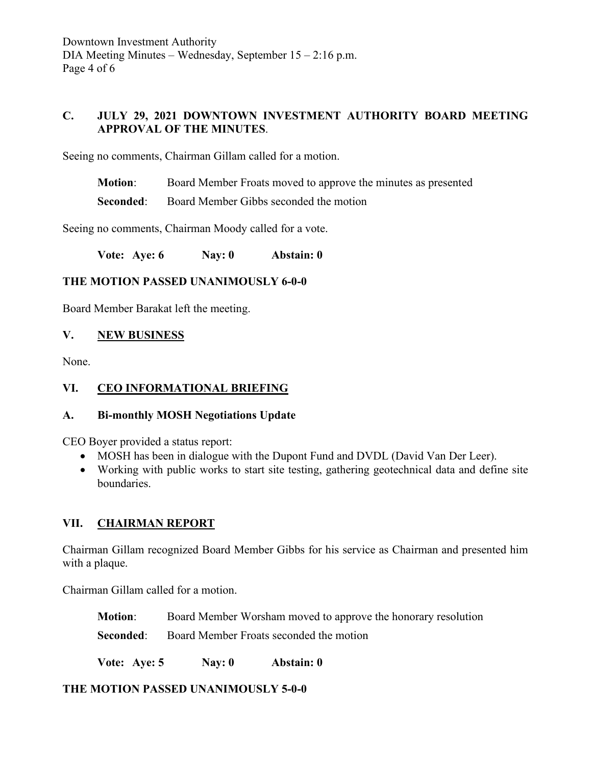# **C. JULY 29, 2021 DOWNTOWN INVESTMENT AUTHORITY BOARD MEETING APPROVAL OF THE MINUTES**.

Seeing no comments, Chairman Gillam called for a motion.

**Motion**: Board Member Froats moved to approve the minutes as presented

**Seconded:** Board Member Gibbs seconded the motion

Seeing no comments, Chairman Moody called for a vote.

**Vote: Aye: 6 Nay: 0 Abstain: 0**

### **THE MOTION PASSED UNANIMOUSLY 6-0-0**

Board Member Barakat left the meeting.

### **V. NEW BUSINESS**

None.

## **VI. CEO INFORMATIONAL BRIEFING**

## **A. Bi-monthly MOSH Negotiations Update**

CEO Boyer provided a status report:

- MOSH has been in dialogue with the Dupont Fund and DVDL (David Van Der Leer).
- Working with public works to start site testing, gathering geotechnical data and define site boundaries.

## **VII. CHAIRMAN REPORT**

Chairman Gillam recognized Board Member Gibbs for his service as Chairman and presented him with a plaque.

Chairman Gillam called for a motion.

**Motion**: Board Member Worsham moved to approve the honorary resolution

**Seconded:** Board Member Froats seconded the motion

**Vote: Aye: 5 Nay: 0 Abstain: 0**

**THE MOTION PASSED UNANIMOUSLY 5-0-0**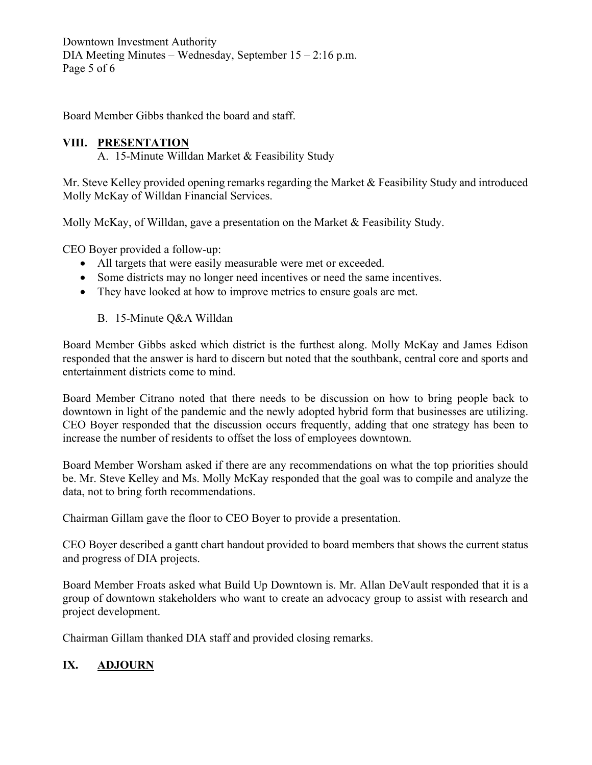Downtown Investment Authority DIA Meeting Minutes – Wednesday, September 15 – 2:16 p.m. Page 5 of 6

Board Member Gibbs thanked the board and staff.

# **VIII. PRESENTATION**

A. 15-Minute Willdan Market & Feasibility Study

Mr. Steve Kelley provided opening remarks regarding the Market & Feasibility Study and introduced Molly McKay of Willdan Financial Services.

Molly McKay, of Willdan, gave a presentation on the Market & Feasibility Study.

CEO Boyer provided a follow-up:

- All targets that were easily measurable were met or exceeded.
- Some districts may no longer need incentives or need the same incentives.
- They have looked at how to improve metrics to ensure goals are met.
	- B. 15-Minute Q&A Willdan

Board Member Gibbs asked which district is the furthest along. Molly McKay and James Edison responded that the answer is hard to discern but noted that the southbank, central core and sports and entertainment districts come to mind.

Board Member Citrano noted that there needs to be discussion on how to bring people back to downtown in light of the pandemic and the newly adopted hybrid form that businesses are utilizing. CEO Boyer responded that the discussion occurs frequently, adding that one strategy has been to increase the number of residents to offset the loss of employees downtown.

Board Member Worsham asked if there are any recommendations on what the top priorities should be. Mr. Steve Kelley and Ms. Molly McKay responded that the goal was to compile and analyze the data, not to bring forth recommendations.

Chairman Gillam gave the floor to CEO Boyer to provide a presentation.

CEO Boyer described a gantt chart handout provided to board members that shows the current status and progress of DIA projects.

Board Member Froats asked what Build Up Downtown is. Mr. Allan DeVault responded that it is a group of downtown stakeholders who want to create an advocacy group to assist with research and project development.

Chairman Gillam thanked DIA staff and provided closing remarks.

# **IX. ADJOURN**